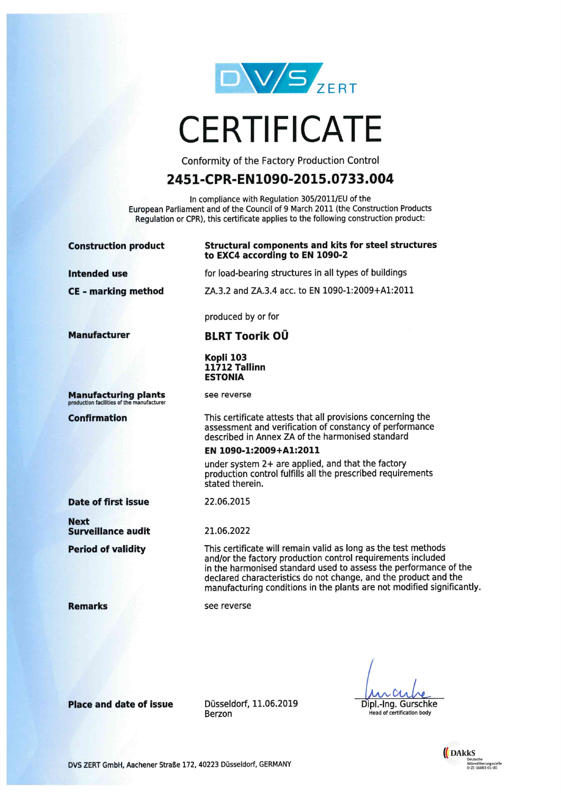

# **CERTIFICATE**

Conformity of the Factory Production Control

# 2451-CPR-EN1090-2015.0733.004

In compliance with Regulation 305/2011/EU of the European Parliament and of the Council of 9 March 2011 (the Construction Products Regulation or CPR), this certificate applies to the following construction product:

| <b>Construction product</b>                                              | <b>Structural components and kits for steel structures</b><br>to EXC4 according to EN 1090-2                                                                                                                                                                                                                                                   |
|--------------------------------------------------------------------------|------------------------------------------------------------------------------------------------------------------------------------------------------------------------------------------------------------------------------------------------------------------------------------------------------------------------------------------------|
| <b>Intended use</b>                                                      | for load-bearing structures in all types of buildings                                                                                                                                                                                                                                                                                          |
| <b>CE - marking method</b>                                               | ZA.3.2 and ZA.3.4 acc. to EN 1090-1:2009+A1:2011                                                                                                                                                                                                                                                                                               |
|                                                                          | produced by or for                                                                                                                                                                                                                                                                                                                             |
| <b>Manufacturer</b>                                                      | <b>BLRT Toorik OÜ</b>                                                                                                                                                                                                                                                                                                                          |
|                                                                          | Kopli 103<br>11712 Tallinn<br><b>ESTONIA</b>                                                                                                                                                                                                                                                                                                   |
| <b>Manufacturing plants</b><br>production facilities of the manufacturer | see reverse                                                                                                                                                                                                                                                                                                                                    |
| <b>Confirmation</b>                                                      | This certificate attests that all provisions concerning the<br>assessment and verification of constancy of performance<br>described in Annex ZA of the harmonised standard                                                                                                                                                                     |
|                                                                          | EN 1090-1:2009+A1:2011                                                                                                                                                                                                                                                                                                                         |
|                                                                          | under system 2+ are applied, and that the factory<br>production control fulfills all the prescribed requirements<br>stated therein.                                                                                                                                                                                                            |
| <b>Date of first issue</b>                                               | 22.06.2015                                                                                                                                                                                                                                                                                                                                     |
| <b>Next</b><br><b>Surveillance audit</b>                                 | 21.06.2022                                                                                                                                                                                                                                                                                                                                     |
|                                                                          |                                                                                                                                                                                                                                                                                                                                                |
| <b>Period of validity</b>                                                | This certificate will remain valid as long as the test methods<br>and/or the factory production control requirements included<br>in the harmonised standard used to assess the performance of the<br>declared characteristics do not change, and the product and the<br>manufacturing conditions in the plants are not modified significantly. |
| <b>Remarks</b>                                                           | see reverse                                                                                                                                                                                                                                                                                                                                    |
|                                                                          |                                                                                                                                                                                                                                                                                                                                                |

Place and date of issue Düsseldorf, 11.06.2019 Berzon

 $\lambda$ Dipl.-lng. Gurschke

Head of certification body